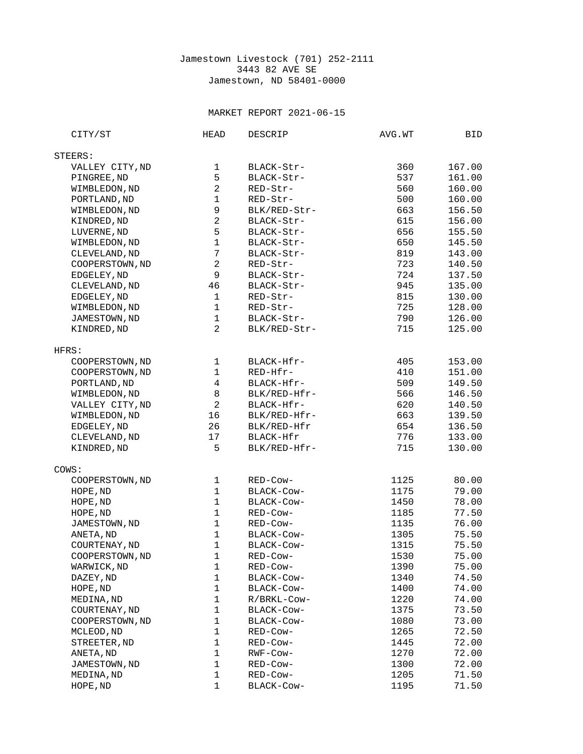## Jamestown Livestock (701) 252-2111 3443 82 AVE SE Jamestown, ND 58401-0000

## MARKET REPORT 2021-06-15

| STEERS:<br>VALLEY CITY, ND<br>1<br>BLACK-Str-<br>360<br>167.00<br>5<br>PINGREE, ND<br>537<br>161.00<br>BLACK-Str-<br>$\overline{c}$<br>WIMBLEDON, ND<br>RED-Str-<br>560<br>160.00<br>$\mathbf 1$<br>PORTLAND, ND<br>RED-Str-<br>500<br>160.00<br>$\boldsymbol{9}$<br>663<br>WIMBLEDON, ND<br>BLK/RED-Str-<br>156.50<br>$\overline{c}$<br>615<br>KINDRED, ND<br>BLACK-Str-<br>156.00<br>5<br>LUVERNE, ND<br>BLACK-Str-<br>656<br>155.50<br>$\mathbf{1}$<br>WIMBLEDON, ND<br>BLACK-Str-<br>650<br>145.50<br>$\overline{7}$<br>819<br>CLEVELAND, ND<br>143.00<br>BLACK-Str-<br>$\boldsymbol{2}$<br>COOPERSTOWN, ND<br>723<br>RED-Str-<br>140.50<br>$\boldsymbol{9}$<br>EDGELEY, ND<br>BLACK-Str-<br>724<br>137.50<br>CLEVELAND, ND<br>46<br>945<br>135.00<br>BLACK-Str-<br>$\mathbf{1}$<br>EDGELEY, ND<br>815<br>130.00<br>RED-Str-<br>$\mathbf{1}$<br>WIMBLEDON, ND<br>725<br>128.00<br>RED-Str-<br>$\mathbf{1}$<br>790<br>JAMESTOWN, ND<br>BLACK-Str-<br>126.00<br>$\overline{2}$<br>715<br>KINDRED, ND<br>BLK/RED-Str-<br>125.00<br>HFRS:<br>COOPERSTOWN, ND<br>153.00<br>1<br>BLACK-Hfr-<br>405<br>$\mathbf{1}$<br>COOPERSTOWN, ND<br>RED-Hfr-<br>410<br>151.00<br>$\overline{4}$<br>PORTLAND, ND<br>BLACK-Hfr-<br>509<br>149.50<br>8<br>WIMBLEDON, ND<br>BLK/RED-Hfr-<br>566<br>146.50<br>$\overline{c}$<br>VALLEY CITY, ND<br>BLACK-Hfr-<br>620<br>140.50<br>16<br>WIMBLEDON, ND<br>BLK/RED-Hfr-<br>663<br>139.50<br>26<br>654<br>136.50<br>EDGELEY, ND<br>BLK/RED-Hfr<br>17<br>776<br>133.00<br>CLEVELAND, ND<br>BLACK-Hfr<br>5<br>715<br>KINDRED, ND<br>BLK/RED-Hfr-<br>130.00<br>COWS:<br>COOPERSTOWN, ND<br>1<br>1125<br>80.00<br>RED-Cow-<br>$\mathbf{1}$<br>BLACK-Cow-<br>1175<br>79.00<br>HOPE, ND<br>$\mathbf{1}$<br>HOPE, ND<br>1450<br>78.00<br>BLACK-COW-<br>$\mathbf{1}$<br>HOPE, ND<br>RED-Cow-<br>1185<br>77.50<br>$\mathbf{1}$<br>JAMESTOWN, ND<br>RED-Cow-<br>1135<br>76.00<br>$\mathbf{1}$<br>ANETA, ND<br>BLACK-Cow-<br>1305<br>75.50<br>$\mathbf{1}$<br>COURTENAY, ND<br>75.50<br>BLACK-Cow-<br>1315<br>COOPERSTOWN, ND<br>$\mathbf 1$<br>1530<br>75.00<br>RED-Cow-<br>WARWICK, ND<br>1390<br>1<br>RED-Cow-<br>75.00<br>$\mathbf{1}$<br>DAZEY, ND<br>BLACK-Cow-<br>1340<br>74.50<br>$\mathbf{1}$<br>HOPE, ND<br>BLACK-COW-<br>1400<br>74.00<br>$\mathbf{1}$<br>MEDINA, ND<br>1220<br>R/BRKL-Cow-<br>74.00<br>$\mathbf{1}$<br>COURTENAY, ND<br>BLACK-COW-<br>1375<br>73.50<br>$\mathbf{1}$<br>BLACK-Cow-<br>73.00<br>COOPERSTOWN, ND<br>1080<br>$\mathbf{1}$<br>RED-Cow-<br>1265<br>72.50<br>MCLEOD, ND<br>$\mathbf{1}$<br>STREETER, ND<br>72.00<br>RED-Cow-<br>1445<br>$\mathbf{1}$<br>ANETA, ND<br>72.00<br>RWF-Cow-<br>1270<br>$\mathbf{1}$<br>JAMESTOWN, ND<br>RED-Cow-<br>1300<br>72.00<br>MEDINA, ND<br>1<br>RED-Cow-<br>71.50<br>1205<br>1<br>HOPE, ND<br>BLACK-Cow-<br>1195<br>71.50 | CITY/ST | <b>HEAD</b> | <b>DESCRIP</b> | AVG.WT | BID |
|-------------------------------------------------------------------------------------------------------------------------------------------------------------------------------------------------------------------------------------------------------------------------------------------------------------------------------------------------------------------------------------------------------------------------------------------------------------------------------------------------------------------------------------------------------------------------------------------------------------------------------------------------------------------------------------------------------------------------------------------------------------------------------------------------------------------------------------------------------------------------------------------------------------------------------------------------------------------------------------------------------------------------------------------------------------------------------------------------------------------------------------------------------------------------------------------------------------------------------------------------------------------------------------------------------------------------------------------------------------------------------------------------------------------------------------------------------------------------------------------------------------------------------------------------------------------------------------------------------------------------------------------------------------------------------------------------------------------------------------------------------------------------------------------------------------------------------------------------------------------------------------------------------------------------------------------------------------------------------------------------------------------------------------------------------------------------------------------------------------------------------------------------------------------------------------------------------------------------------------------------------------------------------------------------------------------------------------------------------------------------------------------------------------------------------------------------------------------------------------------------------------------------------------------------------------------------------------------------------------------------------------------------------------------------------------------------------------------------------------------------------------------------------------------------------------------|---------|-------------|----------------|--------|-----|
|                                                                                                                                                                                                                                                                                                                                                                                                                                                                                                                                                                                                                                                                                                                                                                                                                                                                                                                                                                                                                                                                                                                                                                                                                                                                                                                                                                                                                                                                                                                                                                                                                                                                                                                                                                                                                                                                                                                                                                                                                                                                                                                                                                                                                                                                                                                                                                                                                                                                                                                                                                                                                                                                                                                                                                                                                   |         |             |                |        |     |
|                                                                                                                                                                                                                                                                                                                                                                                                                                                                                                                                                                                                                                                                                                                                                                                                                                                                                                                                                                                                                                                                                                                                                                                                                                                                                                                                                                                                                                                                                                                                                                                                                                                                                                                                                                                                                                                                                                                                                                                                                                                                                                                                                                                                                                                                                                                                                                                                                                                                                                                                                                                                                                                                                                                                                                                                                   |         |             |                |        |     |
|                                                                                                                                                                                                                                                                                                                                                                                                                                                                                                                                                                                                                                                                                                                                                                                                                                                                                                                                                                                                                                                                                                                                                                                                                                                                                                                                                                                                                                                                                                                                                                                                                                                                                                                                                                                                                                                                                                                                                                                                                                                                                                                                                                                                                                                                                                                                                                                                                                                                                                                                                                                                                                                                                                                                                                                                                   |         |             |                |        |     |
|                                                                                                                                                                                                                                                                                                                                                                                                                                                                                                                                                                                                                                                                                                                                                                                                                                                                                                                                                                                                                                                                                                                                                                                                                                                                                                                                                                                                                                                                                                                                                                                                                                                                                                                                                                                                                                                                                                                                                                                                                                                                                                                                                                                                                                                                                                                                                                                                                                                                                                                                                                                                                                                                                                                                                                                                                   |         |             |                |        |     |
|                                                                                                                                                                                                                                                                                                                                                                                                                                                                                                                                                                                                                                                                                                                                                                                                                                                                                                                                                                                                                                                                                                                                                                                                                                                                                                                                                                                                                                                                                                                                                                                                                                                                                                                                                                                                                                                                                                                                                                                                                                                                                                                                                                                                                                                                                                                                                                                                                                                                                                                                                                                                                                                                                                                                                                                                                   |         |             |                |        |     |
|                                                                                                                                                                                                                                                                                                                                                                                                                                                                                                                                                                                                                                                                                                                                                                                                                                                                                                                                                                                                                                                                                                                                                                                                                                                                                                                                                                                                                                                                                                                                                                                                                                                                                                                                                                                                                                                                                                                                                                                                                                                                                                                                                                                                                                                                                                                                                                                                                                                                                                                                                                                                                                                                                                                                                                                                                   |         |             |                |        |     |
|                                                                                                                                                                                                                                                                                                                                                                                                                                                                                                                                                                                                                                                                                                                                                                                                                                                                                                                                                                                                                                                                                                                                                                                                                                                                                                                                                                                                                                                                                                                                                                                                                                                                                                                                                                                                                                                                                                                                                                                                                                                                                                                                                                                                                                                                                                                                                                                                                                                                                                                                                                                                                                                                                                                                                                                                                   |         |             |                |        |     |
|                                                                                                                                                                                                                                                                                                                                                                                                                                                                                                                                                                                                                                                                                                                                                                                                                                                                                                                                                                                                                                                                                                                                                                                                                                                                                                                                                                                                                                                                                                                                                                                                                                                                                                                                                                                                                                                                                                                                                                                                                                                                                                                                                                                                                                                                                                                                                                                                                                                                                                                                                                                                                                                                                                                                                                                                                   |         |             |                |        |     |
|                                                                                                                                                                                                                                                                                                                                                                                                                                                                                                                                                                                                                                                                                                                                                                                                                                                                                                                                                                                                                                                                                                                                                                                                                                                                                                                                                                                                                                                                                                                                                                                                                                                                                                                                                                                                                                                                                                                                                                                                                                                                                                                                                                                                                                                                                                                                                                                                                                                                                                                                                                                                                                                                                                                                                                                                                   |         |             |                |        |     |
|                                                                                                                                                                                                                                                                                                                                                                                                                                                                                                                                                                                                                                                                                                                                                                                                                                                                                                                                                                                                                                                                                                                                                                                                                                                                                                                                                                                                                                                                                                                                                                                                                                                                                                                                                                                                                                                                                                                                                                                                                                                                                                                                                                                                                                                                                                                                                                                                                                                                                                                                                                                                                                                                                                                                                                                                                   |         |             |                |        |     |
|                                                                                                                                                                                                                                                                                                                                                                                                                                                                                                                                                                                                                                                                                                                                                                                                                                                                                                                                                                                                                                                                                                                                                                                                                                                                                                                                                                                                                                                                                                                                                                                                                                                                                                                                                                                                                                                                                                                                                                                                                                                                                                                                                                                                                                                                                                                                                                                                                                                                                                                                                                                                                                                                                                                                                                                                                   |         |             |                |        |     |
|                                                                                                                                                                                                                                                                                                                                                                                                                                                                                                                                                                                                                                                                                                                                                                                                                                                                                                                                                                                                                                                                                                                                                                                                                                                                                                                                                                                                                                                                                                                                                                                                                                                                                                                                                                                                                                                                                                                                                                                                                                                                                                                                                                                                                                                                                                                                                                                                                                                                                                                                                                                                                                                                                                                                                                                                                   |         |             |                |        |     |
|                                                                                                                                                                                                                                                                                                                                                                                                                                                                                                                                                                                                                                                                                                                                                                                                                                                                                                                                                                                                                                                                                                                                                                                                                                                                                                                                                                                                                                                                                                                                                                                                                                                                                                                                                                                                                                                                                                                                                                                                                                                                                                                                                                                                                                                                                                                                                                                                                                                                                                                                                                                                                                                                                                                                                                                                                   |         |             |                |        |     |
|                                                                                                                                                                                                                                                                                                                                                                                                                                                                                                                                                                                                                                                                                                                                                                                                                                                                                                                                                                                                                                                                                                                                                                                                                                                                                                                                                                                                                                                                                                                                                                                                                                                                                                                                                                                                                                                                                                                                                                                                                                                                                                                                                                                                                                                                                                                                                                                                                                                                                                                                                                                                                                                                                                                                                                                                                   |         |             |                |        |     |
|                                                                                                                                                                                                                                                                                                                                                                                                                                                                                                                                                                                                                                                                                                                                                                                                                                                                                                                                                                                                                                                                                                                                                                                                                                                                                                                                                                                                                                                                                                                                                                                                                                                                                                                                                                                                                                                                                                                                                                                                                                                                                                                                                                                                                                                                                                                                                                                                                                                                                                                                                                                                                                                                                                                                                                                                                   |         |             |                |        |     |
|                                                                                                                                                                                                                                                                                                                                                                                                                                                                                                                                                                                                                                                                                                                                                                                                                                                                                                                                                                                                                                                                                                                                                                                                                                                                                                                                                                                                                                                                                                                                                                                                                                                                                                                                                                                                                                                                                                                                                                                                                                                                                                                                                                                                                                                                                                                                                                                                                                                                                                                                                                                                                                                                                                                                                                                                                   |         |             |                |        |     |
|                                                                                                                                                                                                                                                                                                                                                                                                                                                                                                                                                                                                                                                                                                                                                                                                                                                                                                                                                                                                                                                                                                                                                                                                                                                                                                                                                                                                                                                                                                                                                                                                                                                                                                                                                                                                                                                                                                                                                                                                                                                                                                                                                                                                                                                                                                                                                                                                                                                                                                                                                                                                                                                                                                                                                                                                                   |         |             |                |        |     |
|                                                                                                                                                                                                                                                                                                                                                                                                                                                                                                                                                                                                                                                                                                                                                                                                                                                                                                                                                                                                                                                                                                                                                                                                                                                                                                                                                                                                                                                                                                                                                                                                                                                                                                                                                                                                                                                                                                                                                                                                                                                                                                                                                                                                                                                                                                                                                                                                                                                                                                                                                                                                                                                                                                                                                                                                                   |         |             |                |        |     |
|                                                                                                                                                                                                                                                                                                                                                                                                                                                                                                                                                                                                                                                                                                                                                                                                                                                                                                                                                                                                                                                                                                                                                                                                                                                                                                                                                                                                                                                                                                                                                                                                                                                                                                                                                                                                                                                                                                                                                                                                                                                                                                                                                                                                                                                                                                                                                                                                                                                                                                                                                                                                                                                                                                                                                                                                                   |         |             |                |        |     |
|                                                                                                                                                                                                                                                                                                                                                                                                                                                                                                                                                                                                                                                                                                                                                                                                                                                                                                                                                                                                                                                                                                                                                                                                                                                                                                                                                                                                                                                                                                                                                                                                                                                                                                                                                                                                                                                                                                                                                                                                                                                                                                                                                                                                                                                                                                                                                                                                                                                                                                                                                                                                                                                                                                                                                                                                                   |         |             |                |        |     |
|                                                                                                                                                                                                                                                                                                                                                                                                                                                                                                                                                                                                                                                                                                                                                                                                                                                                                                                                                                                                                                                                                                                                                                                                                                                                                                                                                                                                                                                                                                                                                                                                                                                                                                                                                                                                                                                                                                                                                                                                                                                                                                                                                                                                                                                                                                                                                                                                                                                                                                                                                                                                                                                                                                                                                                                                                   |         |             |                |        |     |
|                                                                                                                                                                                                                                                                                                                                                                                                                                                                                                                                                                                                                                                                                                                                                                                                                                                                                                                                                                                                                                                                                                                                                                                                                                                                                                                                                                                                                                                                                                                                                                                                                                                                                                                                                                                                                                                                                                                                                                                                                                                                                                                                                                                                                                                                                                                                                                                                                                                                                                                                                                                                                                                                                                                                                                                                                   |         |             |                |        |     |
|                                                                                                                                                                                                                                                                                                                                                                                                                                                                                                                                                                                                                                                                                                                                                                                                                                                                                                                                                                                                                                                                                                                                                                                                                                                                                                                                                                                                                                                                                                                                                                                                                                                                                                                                                                                                                                                                                                                                                                                                                                                                                                                                                                                                                                                                                                                                                                                                                                                                                                                                                                                                                                                                                                                                                                                                                   |         |             |                |        |     |
|                                                                                                                                                                                                                                                                                                                                                                                                                                                                                                                                                                                                                                                                                                                                                                                                                                                                                                                                                                                                                                                                                                                                                                                                                                                                                                                                                                                                                                                                                                                                                                                                                                                                                                                                                                                                                                                                                                                                                                                                                                                                                                                                                                                                                                                                                                                                                                                                                                                                                                                                                                                                                                                                                                                                                                                                                   |         |             |                |        |     |
|                                                                                                                                                                                                                                                                                                                                                                                                                                                                                                                                                                                                                                                                                                                                                                                                                                                                                                                                                                                                                                                                                                                                                                                                                                                                                                                                                                                                                                                                                                                                                                                                                                                                                                                                                                                                                                                                                                                                                                                                                                                                                                                                                                                                                                                                                                                                                                                                                                                                                                                                                                                                                                                                                                                                                                                                                   |         |             |                |        |     |
|                                                                                                                                                                                                                                                                                                                                                                                                                                                                                                                                                                                                                                                                                                                                                                                                                                                                                                                                                                                                                                                                                                                                                                                                                                                                                                                                                                                                                                                                                                                                                                                                                                                                                                                                                                                                                                                                                                                                                                                                                                                                                                                                                                                                                                                                                                                                                                                                                                                                                                                                                                                                                                                                                                                                                                                                                   |         |             |                |        |     |
|                                                                                                                                                                                                                                                                                                                                                                                                                                                                                                                                                                                                                                                                                                                                                                                                                                                                                                                                                                                                                                                                                                                                                                                                                                                                                                                                                                                                                                                                                                                                                                                                                                                                                                                                                                                                                                                                                                                                                                                                                                                                                                                                                                                                                                                                                                                                                                                                                                                                                                                                                                                                                                                                                                                                                                                                                   |         |             |                |        |     |
|                                                                                                                                                                                                                                                                                                                                                                                                                                                                                                                                                                                                                                                                                                                                                                                                                                                                                                                                                                                                                                                                                                                                                                                                                                                                                                                                                                                                                                                                                                                                                                                                                                                                                                                                                                                                                                                                                                                                                                                                                                                                                                                                                                                                                                                                                                                                                                                                                                                                                                                                                                                                                                                                                                                                                                                                                   |         |             |                |        |     |
|                                                                                                                                                                                                                                                                                                                                                                                                                                                                                                                                                                                                                                                                                                                                                                                                                                                                                                                                                                                                                                                                                                                                                                                                                                                                                                                                                                                                                                                                                                                                                                                                                                                                                                                                                                                                                                                                                                                                                                                                                                                                                                                                                                                                                                                                                                                                                                                                                                                                                                                                                                                                                                                                                                                                                                                                                   |         |             |                |        |     |
|                                                                                                                                                                                                                                                                                                                                                                                                                                                                                                                                                                                                                                                                                                                                                                                                                                                                                                                                                                                                                                                                                                                                                                                                                                                                                                                                                                                                                                                                                                                                                                                                                                                                                                                                                                                                                                                                                                                                                                                                                                                                                                                                                                                                                                                                                                                                                                                                                                                                                                                                                                                                                                                                                                                                                                                                                   |         |             |                |        |     |
|                                                                                                                                                                                                                                                                                                                                                                                                                                                                                                                                                                                                                                                                                                                                                                                                                                                                                                                                                                                                                                                                                                                                                                                                                                                                                                                                                                                                                                                                                                                                                                                                                                                                                                                                                                                                                                                                                                                                                                                                                                                                                                                                                                                                                                                                                                                                                                                                                                                                                                                                                                                                                                                                                                                                                                                                                   |         |             |                |        |     |
|                                                                                                                                                                                                                                                                                                                                                                                                                                                                                                                                                                                                                                                                                                                                                                                                                                                                                                                                                                                                                                                                                                                                                                                                                                                                                                                                                                                                                                                                                                                                                                                                                                                                                                                                                                                                                                                                                                                                                                                                                                                                                                                                                                                                                                                                                                                                                                                                                                                                                                                                                                                                                                                                                                                                                                                                                   |         |             |                |        |     |
|                                                                                                                                                                                                                                                                                                                                                                                                                                                                                                                                                                                                                                                                                                                                                                                                                                                                                                                                                                                                                                                                                                                                                                                                                                                                                                                                                                                                                                                                                                                                                                                                                                                                                                                                                                                                                                                                                                                                                                                                                                                                                                                                                                                                                                                                                                                                                                                                                                                                                                                                                                                                                                                                                                                                                                                                                   |         |             |                |        |     |
|                                                                                                                                                                                                                                                                                                                                                                                                                                                                                                                                                                                                                                                                                                                                                                                                                                                                                                                                                                                                                                                                                                                                                                                                                                                                                                                                                                                                                                                                                                                                                                                                                                                                                                                                                                                                                                                                                                                                                                                                                                                                                                                                                                                                                                                                                                                                                                                                                                                                                                                                                                                                                                                                                                                                                                                                                   |         |             |                |        |     |
|                                                                                                                                                                                                                                                                                                                                                                                                                                                                                                                                                                                                                                                                                                                                                                                                                                                                                                                                                                                                                                                                                                                                                                                                                                                                                                                                                                                                                                                                                                                                                                                                                                                                                                                                                                                                                                                                                                                                                                                                                                                                                                                                                                                                                                                                                                                                                                                                                                                                                                                                                                                                                                                                                                                                                                                                                   |         |             |                |        |     |
|                                                                                                                                                                                                                                                                                                                                                                                                                                                                                                                                                                                                                                                                                                                                                                                                                                                                                                                                                                                                                                                                                                                                                                                                                                                                                                                                                                                                                                                                                                                                                                                                                                                                                                                                                                                                                                                                                                                                                                                                                                                                                                                                                                                                                                                                                                                                                                                                                                                                                                                                                                                                                                                                                                                                                                                                                   |         |             |                |        |     |
|                                                                                                                                                                                                                                                                                                                                                                                                                                                                                                                                                                                                                                                                                                                                                                                                                                                                                                                                                                                                                                                                                                                                                                                                                                                                                                                                                                                                                                                                                                                                                                                                                                                                                                                                                                                                                                                                                                                                                                                                                                                                                                                                                                                                                                                                                                                                                                                                                                                                                                                                                                                                                                                                                                                                                                                                                   |         |             |                |        |     |
|                                                                                                                                                                                                                                                                                                                                                                                                                                                                                                                                                                                                                                                                                                                                                                                                                                                                                                                                                                                                                                                                                                                                                                                                                                                                                                                                                                                                                                                                                                                                                                                                                                                                                                                                                                                                                                                                                                                                                                                                                                                                                                                                                                                                                                                                                                                                                                                                                                                                                                                                                                                                                                                                                                                                                                                                                   |         |             |                |        |     |
|                                                                                                                                                                                                                                                                                                                                                                                                                                                                                                                                                                                                                                                                                                                                                                                                                                                                                                                                                                                                                                                                                                                                                                                                                                                                                                                                                                                                                                                                                                                                                                                                                                                                                                                                                                                                                                                                                                                                                                                                                                                                                                                                                                                                                                                                                                                                                                                                                                                                                                                                                                                                                                                                                                                                                                                                                   |         |             |                |        |     |
|                                                                                                                                                                                                                                                                                                                                                                                                                                                                                                                                                                                                                                                                                                                                                                                                                                                                                                                                                                                                                                                                                                                                                                                                                                                                                                                                                                                                                                                                                                                                                                                                                                                                                                                                                                                                                                                                                                                                                                                                                                                                                                                                                                                                                                                                                                                                                                                                                                                                                                                                                                                                                                                                                                                                                                                                                   |         |             |                |        |     |
|                                                                                                                                                                                                                                                                                                                                                                                                                                                                                                                                                                                                                                                                                                                                                                                                                                                                                                                                                                                                                                                                                                                                                                                                                                                                                                                                                                                                                                                                                                                                                                                                                                                                                                                                                                                                                                                                                                                                                                                                                                                                                                                                                                                                                                                                                                                                                                                                                                                                                                                                                                                                                                                                                                                                                                                                                   |         |             |                |        |     |
|                                                                                                                                                                                                                                                                                                                                                                                                                                                                                                                                                                                                                                                                                                                                                                                                                                                                                                                                                                                                                                                                                                                                                                                                                                                                                                                                                                                                                                                                                                                                                                                                                                                                                                                                                                                                                                                                                                                                                                                                                                                                                                                                                                                                                                                                                                                                                                                                                                                                                                                                                                                                                                                                                                                                                                                                                   |         |             |                |        |     |
|                                                                                                                                                                                                                                                                                                                                                                                                                                                                                                                                                                                                                                                                                                                                                                                                                                                                                                                                                                                                                                                                                                                                                                                                                                                                                                                                                                                                                                                                                                                                                                                                                                                                                                                                                                                                                                                                                                                                                                                                                                                                                                                                                                                                                                                                                                                                                                                                                                                                                                                                                                                                                                                                                                                                                                                                                   |         |             |                |        |     |
|                                                                                                                                                                                                                                                                                                                                                                                                                                                                                                                                                                                                                                                                                                                                                                                                                                                                                                                                                                                                                                                                                                                                                                                                                                                                                                                                                                                                                                                                                                                                                                                                                                                                                                                                                                                                                                                                                                                                                                                                                                                                                                                                                                                                                                                                                                                                                                                                                                                                                                                                                                                                                                                                                                                                                                                                                   |         |             |                |        |     |
|                                                                                                                                                                                                                                                                                                                                                                                                                                                                                                                                                                                                                                                                                                                                                                                                                                                                                                                                                                                                                                                                                                                                                                                                                                                                                                                                                                                                                                                                                                                                                                                                                                                                                                                                                                                                                                                                                                                                                                                                                                                                                                                                                                                                                                                                                                                                                                                                                                                                                                                                                                                                                                                                                                                                                                                                                   |         |             |                |        |     |
|                                                                                                                                                                                                                                                                                                                                                                                                                                                                                                                                                                                                                                                                                                                                                                                                                                                                                                                                                                                                                                                                                                                                                                                                                                                                                                                                                                                                                                                                                                                                                                                                                                                                                                                                                                                                                                                                                                                                                                                                                                                                                                                                                                                                                                                                                                                                                                                                                                                                                                                                                                                                                                                                                                                                                                                                                   |         |             |                |        |     |
|                                                                                                                                                                                                                                                                                                                                                                                                                                                                                                                                                                                                                                                                                                                                                                                                                                                                                                                                                                                                                                                                                                                                                                                                                                                                                                                                                                                                                                                                                                                                                                                                                                                                                                                                                                                                                                                                                                                                                                                                                                                                                                                                                                                                                                                                                                                                                                                                                                                                                                                                                                                                                                                                                                                                                                                                                   |         |             |                |        |     |
|                                                                                                                                                                                                                                                                                                                                                                                                                                                                                                                                                                                                                                                                                                                                                                                                                                                                                                                                                                                                                                                                                                                                                                                                                                                                                                                                                                                                                                                                                                                                                                                                                                                                                                                                                                                                                                                                                                                                                                                                                                                                                                                                                                                                                                                                                                                                                                                                                                                                                                                                                                                                                                                                                                                                                                                                                   |         |             |                |        |     |
|                                                                                                                                                                                                                                                                                                                                                                                                                                                                                                                                                                                                                                                                                                                                                                                                                                                                                                                                                                                                                                                                                                                                                                                                                                                                                                                                                                                                                                                                                                                                                                                                                                                                                                                                                                                                                                                                                                                                                                                                                                                                                                                                                                                                                                                                                                                                                                                                                                                                                                                                                                                                                                                                                                                                                                                                                   |         |             |                |        |     |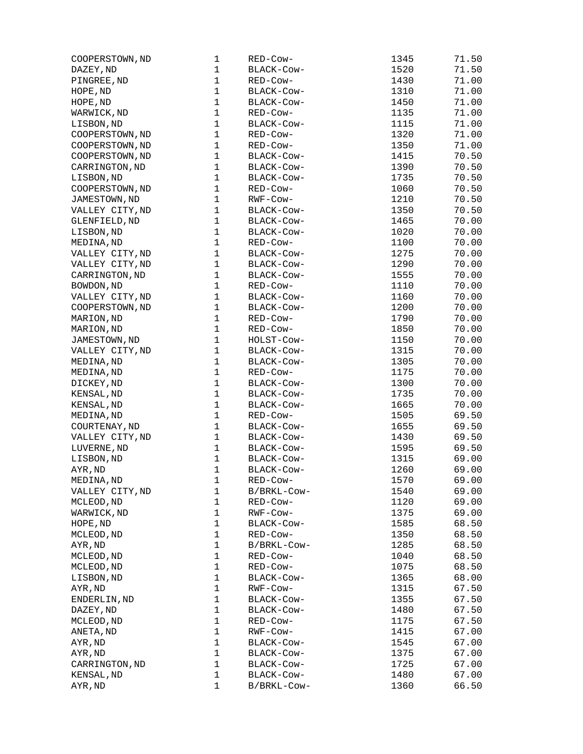| COOPERSTOWN, ND | 1            | RED-Cow-    | 1345 | 71.50 |
|-----------------|--------------|-------------|------|-------|
| DAZEY, ND       | $\mathbf 1$  | BLACK-COW-  | 1520 | 71.50 |
| PINGREE, ND     | $\mathbf{1}$ | RED-Cow-    | 1430 | 71.00 |
| HOPE, ND        | $\mathbf 1$  | BLACK-Cow-  | 1310 | 71.00 |
| HOPE, ND        | $\mathbf 1$  | BLACK-COW-  | 1450 | 71.00 |
| WARWICK, ND     | $\mathbf{1}$ | RED-Cow-    | 1135 | 71.00 |
| LISBON, ND      | $\mathbf{1}$ | BLACK-COW-  | 1115 | 71.00 |
| COOPERSTOWN, ND | $\mathbf 1$  | RED-Cow-    | 1320 | 71.00 |
| COOPERSTOWN, ND | $\mathbf 1$  | RED-Cow-    | 1350 | 71.00 |
| COOPERSTOWN, ND | $\mathbf 1$  | BLACK-Cow-  | 1415 | 70.50 |
| CARRINGTON, ND  | $\mathbf 1$  | BLACK-COW-  | 1390 | 70.50 |
| LISBON, ND      | $\mathbf{1}$ | BLACK-COW-  | 1735 | 70.50 |
| COOPERSTOWN, ND | $\mathbf{1}$ | RED-Cow-    | 1060 | 70.50 |
| JAMESTOWN, ND   | $\mathbf 1$  | RWF-Cow-    | 1210 | 70.50 |
| VALLEY CITY, ND | $\mathbf{1}$ | BLACK-COW-  | 1350 | 70.50 |
| GLENFIELD, ND   | $\mathbf{1}$ | BLACK-COW-  | 1465 | 70.00 |
| LISBON, ND      | $\mathbf 1$  | BLACK-Cow-  | 1020 | 70.00 |
| MEDINA, ND      | $\mathbf 1$  | RED-Cow-    | 1100 | 70.00 |
| VALLEY CITY, ND | $\mathbf 1$  | BLACK-COW-  | 1275 | 70.00 |
| VALLEY CITY, ND | $\mathbf 1$  | BLACK-COW-  | 1290 | 70.00 |
| CARRINGTON, ND  | $\mathbf 1$  | BLACK-Cow-  | 1555 | 70.00 |
| BOWDON, ND      | $\mathbf{1}$ | RED-Cow-    | 1110 | 70.00 |
| VALLEY CITY, ND | $\mathbf 1$  | BLACK-Cow-  | 1160 | 70.00 |
| COOPERSTOWN, ND | $\mathbf{1}$ | BLACK-Cow-  | 1200 | 70.00 |
| MARION, ND      | $\mathbf 1$  |             | 1790 | 70.00 |
|                 | $\mathbf 1$  | RED-Cow-    |      |       |
| MARION, ND      |              | RED-Cow-    | 1850 | 70.00 |
| JAMESTOWN, ND   | $\mathbf 1$  | HOLST-Cow-  | 1150 | 70.00 |
| VALLEY CITY, ND | $\mathbf 1$  | BLACK-COW-  | 1315 | 70.00 |
| MEDINA, ND      | $\mathbf 1$  | BLACK-COW-  | 1305 | 70.00 |
| MEDINA, ND      | $\mathbf 1$  | RED-Cow-    | 1175 | 70.00 |
| DICKEY, ND      | $\mathbf 1$  | BLACK-COW-  | 1300 | 70.00 |
| KENSAL, ND      | $\mathbf 1$  | BLACK-COW-  | 1735 | 70.00 |
| KENSAL, ND      | $\mathbf{1}$ | BLACK-COW-  | 1665 | 70.00 |
| MEDINA, ND      | $\mathbf 1$  | RED-Cow-    | 1505 | 69.50 |
| COURTENAY, ND   | $\mathbf 1$  | BLACK-Cow-  | 1655 | 69.50 |
| VALLEY CITY, ND | 1            | BLACK-Cow-  | 1430 | 69.50 |
| LUVERNE, ND     | 1            | BLACK-COW-  | 1595 | 69.50 |
| LISBON, ND      | $\mathbf 1$  | BLACK-Cow-  | 1315 | 69.00 |
| AYR, ND         | $\mathbf 1$  | BLACK-Cow-  | 1260 | 69.00 |
| MEDINA, ND      | 1            | RED-Cow-    | 1570 | 69.00 |
| VALLEY CITY, ND | 1            | B/BRKL-Cow- | 1540 | 69.00 |
| MCLEOD, ND      | $\mathbf{1}$ | RED-Cow-    | 1120 | 69.00 |
| WARWICK, ND     | $\mathbf{1}$ | RWF-Cow-    | 1375 | 69.00 |
| HOPE, ND        | $\mathbf 1$  | BLACK-Cow-  | 1585 | 68.50 |
| MCLEOD, ND      | 1            | RED-Cow-    | 1350 | 68.50 |
| AYR, ND         | 1            | B/BRKL-Cow- | 1285 | 68.50 |
| MCLEOD, ND      | $\mathbf 1$  | RED-Cow-    | 1040 | 68.50 |
| MCLEOD, ND      | $\mathbf 1$  | RED-Cow-    | 1075 | 68.50 |
| LISBON, ND      | 1            | BLACK-Cow-  | 1365 | 68.00 |
| AYR, ND         | $\mathbf 1$  | RWF-COW-    | 1315 | 67.50 |
| ENDERLIN, ND    | 1            | BLACK-COW-  | 1355 | 67.50 |
| DAZEY, ND       | $\mathbf 1$  | BLACK-Cow-  | 1480 | 67.50 |
|                 | $\mathbf 1$  |             |      |       |
| MCLEOD, ND      |              | RED-Cow-    | 1175 | 67.50 |
| ANETA, ND       | $\mathbf 1$  | RWF-Cow-    | 1415 | 67.00 |
| AYR, ND         | 1            | BLACK-COW-  | 1545 | 67.00 |
| AYR, ND         | $\mathbf 1$  | BLACK-Cow-  | 1375 | 67.00 |
| CARRINGTON, ND  | $\mathbf 1$  | BLACK-COW-  | 1725 | 67.00 |
| KENSAL, ND      | 1            | BLACK-COW-  | 1480 | 67.00 |
| AYR, ND         | $\mathbf 1$  | B/BRKL-Cow- | 1360 | 66.50 |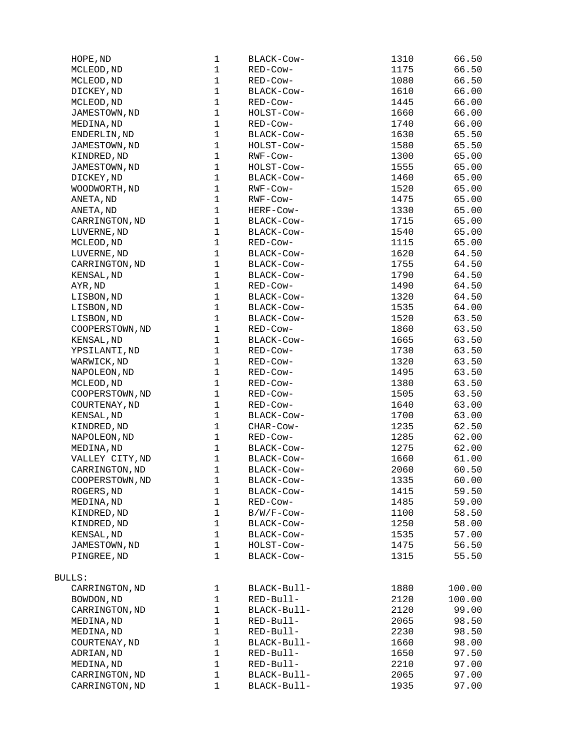| HOPE, ND        | 1            | BLACK-Cow-  | 1310 | 66.50  |
|-----------------|--------------|-------------|------|--------|
| MCLEOD, ND      | $\mathbf 1$  | RED-Cow-    | 1175 | 66.50  |
| MCLEOD, ND      | $\mathbf 1$  | RED-COW-    | 1080 | 66.50  |
| DICKEY, ND      | $\mathbf 1$  | BLACK-COW-  | 1610 | 66.00  |
| MCLEOD, ND      | $\mathbf 1$  | RED-Cow-    | 1445 | 66.00  |
| JAMESTOWN, ND   | $\mathbf 1$  | HOLST-Cow-  | 1660 | 66.00  |
| MEDINA, ND      | $\mathbf{1}$ | RED-Cow-    | 1740 | 66.00  |
| ENDERLIN, ND    | $\mathbf{1}$ | BLACK-Cow-  | 1630 | 65.50  |
| JAMESTOWN, ND   | $\mathbf 1$  | HOLST-COW-  | 1580 | 65.50  |
| KINDRED, ND     | $\mathbf{1}$ | RWF-Cow-    | 1300 | 65.00  |
| JAMESTOWN, ND   | $\mathbf 1$  | HOLST-COW-  | 1555 | 65.00  |
|                 | $\mathbf 1$  | BLACK-COW-  | 1460 | 65.00  |
| DICKEY, ND      | $\mathbf{1}$ |             |      |        |
| WOODWORTH, ND   |              | RWF-Cow-    | 1520 | 65.00  |
| ANETA, ND       | $\mathbf 1$  | RWF-COW-    | 1475 | 65.00  |
| ANETA, ND       | $\mathbf{1}$ | HERF-Cow-   | 1330 | 65.00  |
| CARRINGTON, ND  | $\mathbf 1$  | BLACK-COW-  | 1715 | 65.00  |
| LUVERNE, ND     | $\mathbf{1}$ | BLACK-Cow-  | 1540 | 65.00  |
| MCLEOD, ND      | $\mathbf 1$  | RED-Cow-    | 1115 | 65.00  |
| LUVERNE, ND     | $\mathbf{1}$ | BLACK-COW-  | 1620 | 64.50  |
| CARRINGTON, ND  | $\mathbf 1$  | BLACK-COW-  | 1755 | 64.50  |
| KENSAL, ND      | $\mathbf{1}$ | BLACK-COW-  | 1790 | 64.50  |
| AYR, ND         | $\mathbf 1$  | RED-Cow-    | 1490 | 64.50  |
| LISBON, ND      | $\mathbf{1}$ | BLACK-Cow-  | 1320 | 64.50  |
| LISBON, ND      | $\mathbf 1$  | BLACK-Cow-  | 1535 | 64.00  |
| LISBON, ND      | $\mathbf 1$  | BLACK-Cow-  | 1520 | 63.50  |
| COOPERSTOWN, ND | $\mathbf{1}$ | RED-Cow-    | 1860 | 63.50  |
| KENSAL, ND      | $\mathbf{1}$ | BLACK-Cow-  | 1665 | 63.50  |
| YPSILANTI, ND   | $\mathbf 1$  | RED-Cow-    | 1730 | 63.50  |
| WARWICK, ND     | $\mathbf{1}$ | RED-COW-    | 1320 | 63.50  |
| NAPOLEON, ND    | $\mathbf 1$  | RED-COW-    | 1495 | 63.50  |
|                 | $\mathbf{1}$ |             |      |        |
| MCLEOD, ND      |              | RED-COW-    | 1380 | 63.50  |
| COOPERSTOWN, ND | $\mathbf 1$  | RED-COW-    | 1505 | 63.50  |
| COURTENAY, ND   | $\mathbf{1}$ | RED-Cow-    | 1640 | 63.00  |
| KENSAL, ND      | $\mathbf 1$  | BLACK-COW-  | 1700 | 63.00  |
| KINDRED, ND     | $\mathbf{1}$ | CHAR-COW-   | 1235 | 62.50  |
| NAPOLEON, ND    | $\mathbf{1}$ | RED-Cow-    | 1285 | 62.00  |
| MEDINA, ND      | $\mathbf 1$  | BLACK-COW-  | 1275 | 62.00  |
| VALLEY CITY, ND | 1            | BLACK-COW-  | 1660 | 61.00  |
| CARRINGTON, ND  | $\mathbf 1$  | BLACK-COW-  | 2060 | 60.50  |
| COOPERSTOWN, ND | $\mathbf{1}$ | BLACK-COW-  | 1335 | 60.00  |
| ROGERS, ND      | 1            | BLACK-COW-  | 1415 | 59.50  |
| MEDINA, ND      | $\mathbf{1}$ | RED-Cow-    | 1485 | 59.00  |
| KINDRED, ND     | $\mathbf 1$  | B/W/F-Cow-  | 1100 | 58.50  |
| KINDRED, ND     | $\mathbf{1}$ | BLACK-Cow-  | 1250 | 58.00  |
| KENSAL, ND      | $\mathbf 1$  | BLACK-Cow-  | 1535 | 57.00  |
| JAMESTOWN, ND   | 1            | HOLST-Cow-  | 1475 | 56.50  |
| PINGREE, ND     | $\mathbf{1}$ | BLACK-Cow-  | 1315 | 55.50  |
|                 |              |             |      |        |
| <b>BULLS:</b>   |              |             |      |        |
| CARRINGTON, ND  | 1            | BLACK-Bull- | 1880 |        |
|                 |              |             |      | 100.00 |
| BOWDON, ND      | 1            | RED-Bull-   | 2120 | 100.00 |
| CARRINGTON, ND  | 1            | BLACK-Bull- | 2120 | 99.00  |
| MEDINA, ND      | $\mathbf{1}$ | RED-Bull-   | 2065 | 98.50  |
| MEDINA, ND      | $\mathbf{1}$ | RED-Bull-   | 2230 | 98.50  |
| COURTENAY, ND   | $\mathbf 1$  | BLACK-Bull- | 1660 | 98.00  |
| ADRIAN, ND      | $\mathbf 1$  | RED-Bull-   | 1650 | 97.50  |
| MEDINA, ND      | $\mathbf{1}$ | RED-Bull-   | 2210 | 97.00  |
| CARRINGTON, ND  | $\mathbf 1$  | BLACK-Bull- | 2065 | 97.00  |
| CARRINGTON, ND  | 1            | BLACK-Bull- | 1935 | 97.00  |